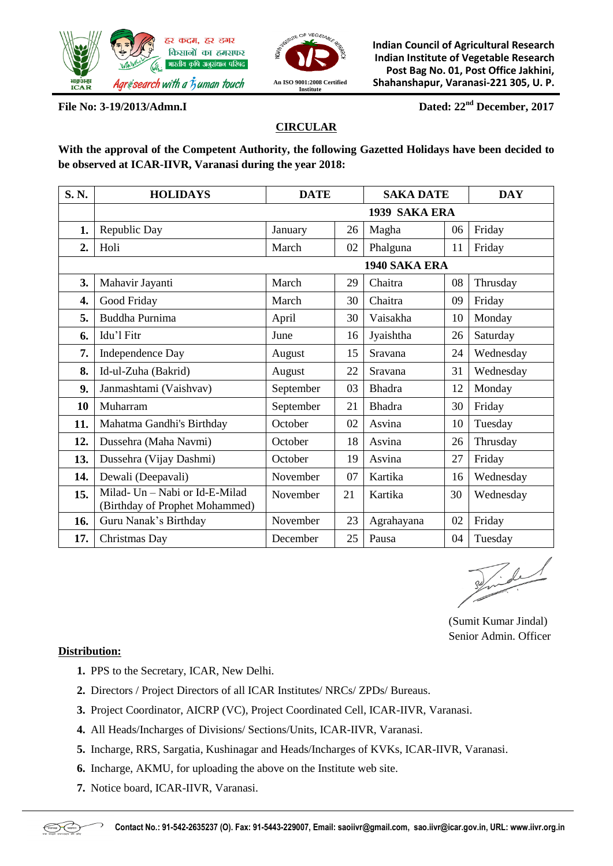



**Indian Council of Agricultural Research Indian Institute of Vegetable Research Post Bag No. 01, Post Office Jakhini, Shahanshapur, Varanasi-221 305, U. P.**

**File No: 3-19/2013/Admn.I Dated: 22nd December, 2017**

# **CIRCULAR**

**With the approval of the Competent Authority, the following Gazetted Holidays have been decided to be observed at ICAR-IIVR, Varanasi during the year 2018:** 

| S.N.             | <b>HOLIDAYS</b>                                                  | <b>DATE</b> |    | <b>SAKA DATE</b> |    | <b>DAY</b> |  |  |  |  |  |
|------------------|------------------------------------------------------------------|-------------|----|------------------|----|------------|--|--|--|--|--|
|                  | 1939 SAKA ERA                                                    |             |    |                  |    |            |  |  |  |  |  |
| 1.               | Republic Day                                                     | January     | 26 | Magha            | 06 | Friday     |  |  |  |  |  |
| $\overline{2}$ . | Holi                                                             | March       | 02 | Phalguna         | 11 | Friday     |  |  |  |  |  |
|                  | 1940 SAKA ERA                                                    |             |    |                  |    |            |  |  |  |  |  |
| 3.               | Mahavir Jayanti                                                  | March       | 29 | Chaitra          | 08 | Thrusday   |  |  |  |  |  |
| 4.               | Good Friday                                                      | March       | 30 | Chaitra          | 09 | Friday     |  |  |  |  |  |
| 5.               | Buddha Purnima                                                   | April       | 30 | Vaisakha         | 10 | Monday     |  |  |  |  |  |
| 6.               | Idu'l Fitr                                                       | June        | 16 | Jyaishtha        | 26 | Saturday   |  |  |  |  |  |
| 7.               | Independence Day                                                 | August      | 15 | Sravana          | 24 | Wednesday  |  |  |  |  |  |
| 8.               | Id-ul-Zuha (Bakrid)                                              | August      | 22 | Sravana          | 31 | Wednesday  |  |  |  |  |  |
| 9.               | Janmashtami (Vaishvav)                                           | September   | 03 | <b>Bhadra</b>    | 12 | Monday     |  |  |  |  |  |
| 10               | Muharram                                                         | September   | 21 | <b>Bhadra</b>    | 30 | Friday     |  |  |  |  |  |
| 11.              | Mahatma Gandhi's Birthday                                        | October     | 02 | Asvina           | 10 | Tuesday    |  |  |  |  |  |
| 12.              | Dussehra (Maha Navmi)                                            | October     | 18 | Asvina           | 26 | Thrusday   |  |  |  |  |  |
| 13.              | Dussehra (Vijay Dashmi)                                          | October     | 19 | Asvina           | 27 | Friday     |  |  |  |  |  |
| 14.              | Dewali (Deepavali)                                               | November    | 07 | Kartika          | 16 | Wednesday  |  |  |  |  |  |
| 15.              | Milad- Un - Nabi or Id-E-Milad<br>(Birthday of Prophet Mohammed) | November    | 21 | Kartika          | 30 | Wednesday  |  |  |  |  |  |
| 16.              | Guru Nanak's Birthday                                            | November    | 23 | Agrahayana       | 02 | Friday     |  |  |  |  |  |
| 17.              | Christmas Day                                                    | December    | 25 | Pausa            | 04 | Tuesday    |  |  |  |  |  |

 $7.8$ 

 (Sumit Kumar Jindal) Senior Admin. Officer

## **Distribution:**

- **1.** PPS to the Secretary, ICAR, New Delhi.
- **2.** Directors / Project Directors of all ICAR Institutes/ NRCs/ ZPDs/ Bureaus.
- **3.** Project Coordinator, AICRP (VC), Project Coordinated Cell, ICAR-IIVR, Varanasi.
- **4.** All Heads/Incharges of Divisions/ Sections/Units, ICAR-IIVR, Varanasi.
- **5.** Incharge, RRS, Sargatia, Kushinagar and Heads/Incharges of KVKs, ICAR-IIVR, Varanasi.
- **6.** Incharge, AKMU, for uploading the above on the Institute web site.
- **7.** Notice board, ICAR-IIVR, Varanasi.